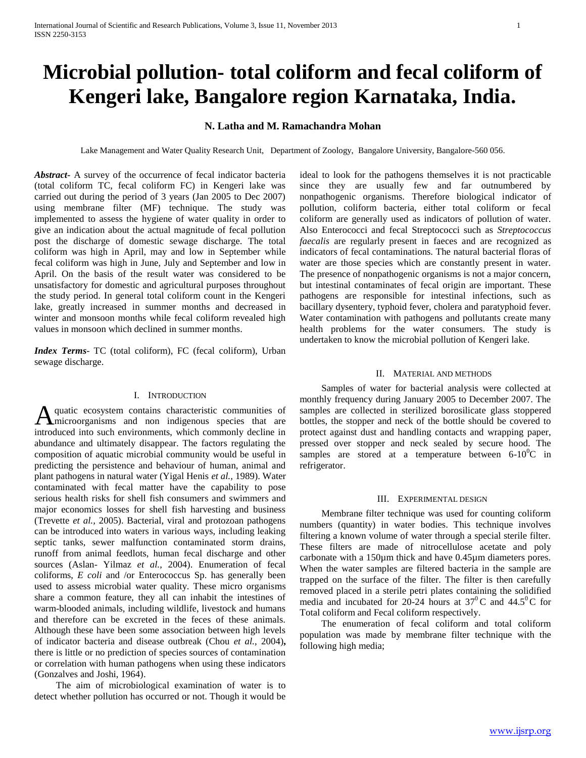# **Microbial pollution- total coliform and fecal coliform of Kengeri lake, Bangalore region Karnataka, India.**

## **N. Latha and M. Ramachandra Mohan**

Lake Management and Water Quality Research Unit, Department of Zoology, Bangalore University, Bangalore-560 056.

*Abstract***-** A survey of the occurrence of fecal indicator bacteria (total coliform TC, fecal coliform FC) in Kengeri lake was carried out during the period of 3 years (Jan 2005 to Dec 2007) using membrane filter (MF) technique. The study was implemented to assess the hygiene of water quality in order to give an indication about the actual magnitude of fecal pollution post the discharge of domestic sewage discharge. The total coliform was high in April, may and low in September while fecal coliform was high in June, July and September and low in April. On the basis of the result water was considered to be unsatisfactory for domestic and agricultural purposes throughout the study period. In general total coliform count in the Kengeri lake, greatly increased in summer months and decreased in winter and monsoon months while fecal coliform revealed high values in monsoon which declined in summer months.

*Index Terms*- TC (total coliform), FC (fecal coliform), Urban sewage discharge.

## I. INTRODUCTION

quatic ecosystem contains characteristic communities of A quatic ecosystem contains characteristic communities of microorganisms and non indigenous species that are introduced into such environments, which commonly decline in abundance and ultimately disappear. The factors regulating the composition of aquatic microbial community would be useful in predicting the persistence and behaviour of human, animal and plant pathogens in natural water (Yigal Henis *et al.,* 1989). Water contaminated with fecal matter have the capability to pose serious health risks for shell fish consumers and swimmers and major economics losses for shell fish harvesting and business (Trevette *et al.,* 2005). Bacterial, viral and protozoan pathogens can be introduced into waters in various ways, including leaking septic tanks, sewer malfunction contaminated storm drains, runoff from animal feedlots, human fecal discharge and other sources (Aslan- Yilmaz *et al.,* 2004). Enumeration of fecal coliforms, *E coli* and /or Enterococcus Sp. has generally been used to assess microbial water quality. These micro organisms share a common feature, they all can inhabit the intestines of warm-blooded animals, including wildlife, livestock and humans and therefore can be excreted in the feces of these animals. Although these have been some association between high levels of indicator bacteria and disease outbreak (Chou *et al.,* 2004)**,** there is little or no prediction of species sources of contamination or correlation with human pathogens when using these indicators (Gonzalves and Joshi, 1964).

 The aim of microbiological examination of water is to detect whether pollution has occurred or not. Though it would be ideal to look for the pathogens themselves it is not practicable since they are usually few and far outnumbered by nonpathogenic organisms. Therefore biological indicator of pollution, coliform bacteria, either total coliform or fecal coliform are generally used as indicators of pollution of water. Also Enterococci and fecal Streptococci such as *Streptococcus faecalis* are regularly present in faeces and are recognized as indicators of fecal contaminations. The natural bacterial floras of water are those species which are constantly present in water. The presence of nonpathogenic organisms is not a major concern, but intestinal contaminates of fecal origin are important. These pathogens are responsible for intestinal infections, such as bacillary dysentery, typhoid fever, cholera and paratyphoid fever. Water contamination with pathogens and pollutants create many health problems for the water consumers. The study is undertaken to know the microbial pollution of Kengeri lake.

## II. MATERIAL AND METHODS

 Samples of water for bacterial analysis were collected at monthly frequency during January 2005 to December 2007. The samples are collected in sterilized borosilicate glass stoppered bottles, the stopper and neck of the bottle should be covered to protect against dust and handling contacts and wrapping paper, pressed over stopper and neck sealed by secure hood. The samples are stored at a temperature between  $6\text{-}10\text{°C}$  in refrigerator.

#### III. EXPERIMENTAL DESIGN

 Membrane filter technique was used for counting coliform numbers (quantity) in water bodies. This technique involves filtering a known volume of water through a special sterile filter. These filters are made of nitrocellulose acetate and poly carbonate with a 150µm thick and have 0.45µm diameters pores. When the water samples are filtered bacteria in the sample are trapped on the surface of the filter. The filter is then carefully removed placed in a sterile petri plates containing the solidified media and incubated for 20-24 hours at  $37^{\circ}$ C and  $44.5^{\circ}$ C for Total coliform and Fecal coliform respectively.

 The enumeration of fecal coliform and total coliform population was made by membrane filter technique with the following high media;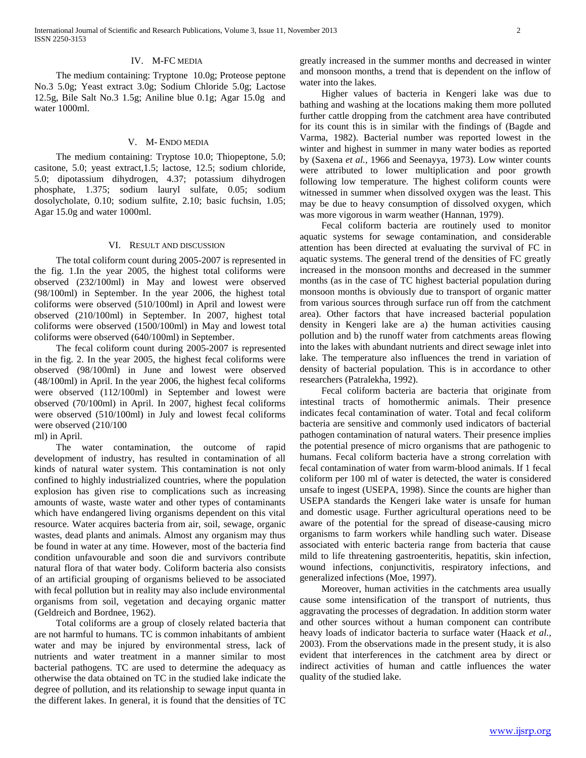#### IV. M-FC MEDIA

 The medium containing: Tryptone 10.0g; Proteose peptone No.3 5.0g; Yeast extract 3.0g; Sodium Chloride 5.0g; Lactose 12.5g, Bile Salt No.3 1.5g; Aniline blue 0.1g; Agar 15.0g and water 1000ml.

### V. M- ENDO MEDIA

 The medium containing: Tryptose 10.0; Thiopeptone, 5.0; casitone, 5.0; yeast extract,1.5; lactose, 12.5; sodium chloride, 5.0; dipotassium dihydrogen, 4.37; potassium dihydrogen phosphate, 1.375; sodium lauryl sulfate, 0.05; sodium dosolycholate, 0.10; sodium sulfite, 2.10; basic fuchsin, 1.05; Agar 15.0g and water 1000ml.

#### VI. RESULT AND DISCUSSION

 The total coliform count during 2005-2007 is represented in the fig. 1.In the year 2005, the highest total coliforms were observed (232/100ml) in May and lowest were observed (98/100ml) in September. In the year 2006, the highest total coliforms were observed (510/100ml) in April and lowest were observed (210/100ml) in September. In 2007, highest total coliforms were observed (1500/100ml) in May and lowest total coliforms were observed (640/100ml) in September.

 The fecal coliform count during 2005-2007 is represented in the fig. 2. In the year 2005, the highest fecal coliforms were observed (98/100ml) in June and lowest were observed (48/100ml) in April. In the year 2006, the highest fecal coliforms were observed (112/100ml) in September and lowest were observed (70/100ml) in April. In 2007, highest fecal coliforms were observed (510/100ml) in July and lowest fecal coliforms were observed (210/100

ml) in April.

 The water contamination, the outcome of rapid development of industry, has resulted in contamination of all kinds of natural water system. This contamination is not only confined to highly industrialized countries, where the population explosion has given rise to complications such as increasing amounts of waste, waste water and other types of contaminants which have endangered living organisms dependent on this vital resource. Water acquires bacteria from air, soil, sewage, organic wastes, dead plants and animals. Almost any organism may thus be found in water at any time. However, most of the bacteria find condition unfavourable and soon die and survivors contribute natural flora of that water body. Coliform bacteria also consists of an artificial grouping of organisms believed to be associated with fecal pollution but in reality may also include environmental organisms from soil, vegetation and decaying organic matter (Geldreich and Bordnee, 1962).

 Total coliforms are a group of closely related bacteria that are not harmful to humans. TC is common inhabitants of ambient water and may be injured by environmental stress, lack of nutrients and water treatment in a manner similar to most bacterial pathogens. TC are used to determine the adequacy as otherwise the data obtained on TC in the studied lake indicate the degree of pollution, and its relationship to sewage input quanta in the different lakes. In general, it is found that the densities of TC greatly increased in the summer months and decreased in winter and monsoon months, a trend that is dependent on the inflow of water into the lakes.

 Higher values of bacteria in Kengeri lake was due to bathing and washing at the locations making them more polluted further cattle dropping from the catchment area have contributed for its count this is in similar with the findings of (Bagde and Varma, 1982). Bacterial number was reported lowest in the winter and highest in summer in many water bodies as reported by (Saxena *et al.,* 1966 and Seenayya, 1973). Low winter counts were attributed to lower multiplication and poor growth following low temperature. The highest coliform counts were witnessed in summer when dissolved oxygen was the least. This may be due to heavy consumption of dissolved oxygen, which was more vigorous in warm weather (Hannan, 1979).

 Fecal coliform bacteria are routinely used to monitor aquatic systems for sewage contamination, and considerable attention has been directed at evaluating the survival of FC in aquatic systems. The general trend of the densities of FC greatly increased in the monsoon months and decreased in the summer months (as in the case of TC highest bacterial population during monsoon months is obviously due to transport of organic matter from various sources through surface run off from the catchment area). Other factors that have increased bacterial population density in Kengeri lake are a) the human activities causing pollution and b) the runoff water from catchments areas flowing into the lakes with abundant nutrients and direct sewage inlet into lake. The temperature also influences the trend in variation of density of bacterial population. This is in accordance to other researchers (Patralekha, 1992).

 Fecal coliform bacteria are bacteria that originate from intestinal tracts of homothermic animals. Their presence indicates fecal contamination of water. Total and fecal coliform bacteria are sensitive and commonly used indicators of bacterial pathogen contamination of natural waters. Their presence implies the potential presence of micro organisms that are pathogenic to humans. Fecal coliform bacteria have a strong correlation with fecal contamination of water from warm-blood animals. If 1 fecal coliform per 100 ml of water is detected, the water is considered unsafe to ingest (USEPA, 1998). Since the counts are higher than USEPA standards the Kengeri lake water is unsafe for human and domestic usage. Further agricultural operations need to be aware of the potential for the spread of disease-causing micro organisms to farm workers while handling such water. Disease associated with enteric bacteria range from bacteria that cause mild to life threatening gastroenteritis, hepatitis, skin infection, wound infections, conjunctivitis, respiratory infections, and generalized infections (Moe, 1997).

 Moreover, human activities in the catchments area usually cause some intensification of the transport of nutrients, thus aggravating the processes of degradation. In addition storm water and other sources without a human component can contribute heavy loads of indicator bacteria to surface water (Haack *et al.,* 2003). From the observations made in the present study, it is also evident that interferences in the catchment area by direct or indirect activities of human and cattle influences the water quality of the studied lake.